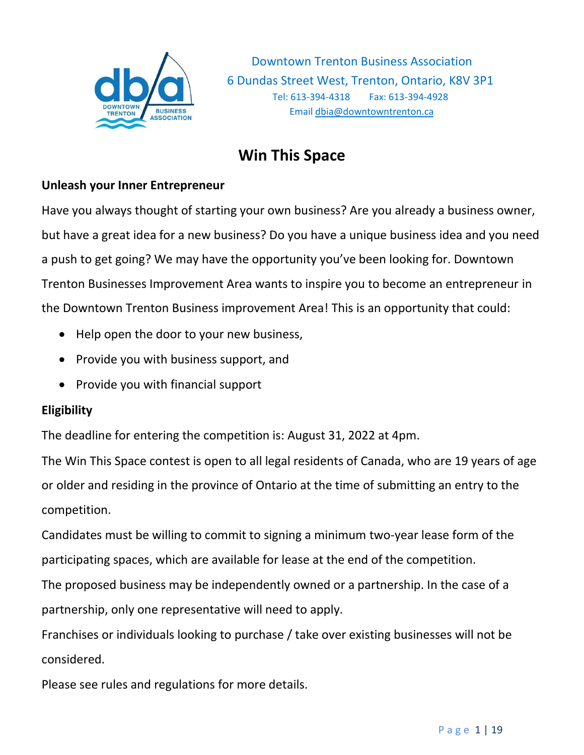

# **Win This Space**

#### **Unleash your Inner Entrepreneur**

Have you always thought of starting your own business? Are you already a business owner, but have a great idea for a new business? Do you have a unique business idea and you need a push to get going? We may have the opportunity you've been looking for. Downtown Trenton Businesses Improvement Area wants to inspire you to become an entrepreneur in the Downtown Trenton Business improvement Area! This is an opportunity that could:

- Help open the door to your new business,
- Provide you with business support, and
- Provide you with financial support

#### **Eligibility**

The deadline for entering the competition is: August 31, 2022 at 4pm.

The Win This Space contest is open to all legal residents of Canada, who are 19 years of age or older and residing in the province of Ontario at the time of submitting an entry to the competition.

Candidates must be willing to commit to signing a minimum two-year lease form of the participating spaces, which are available for lease at the end of the competition.

The proposed business may be independently owned or a partnership. In the case of a partnership, only one representative will need to apply.

Franchises or individuals looking to purchase / take over existing businesses will not be considered.

Please see rules and regulations for more details.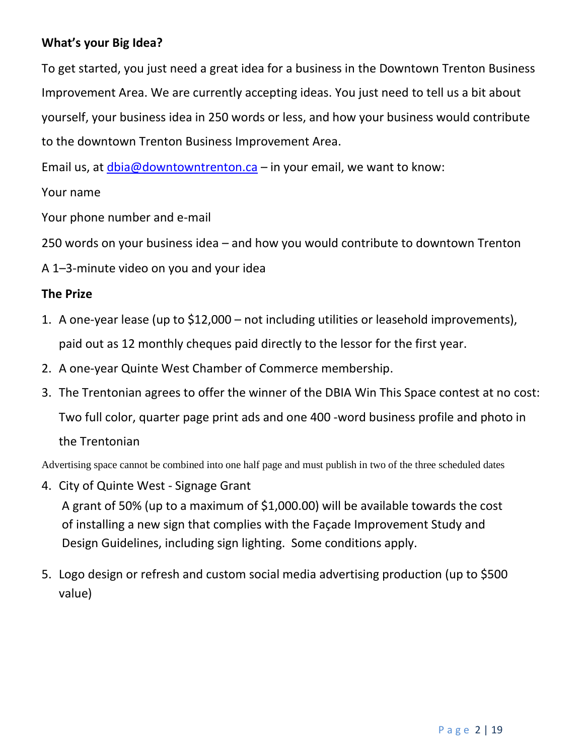## **What's your Big Idea?**

To get started, you just need a great idea for a business in the Downtown Trenton Business Improvement Area. We are currently accepting ideas. You just need to tell us a bit about yourself, your business idea in 250 words or less, and how your business would contribute to the downtown Trenton Business Improvement Area.

Email us, at  $dbia@downtowntvention.ca - in your email, we want to know:$ 

Your name

Your phone number and e-mail

250 words on your business idea – and how you would contribute to downtown Trenton

A 1–3-minute video on you and your idea

#### **The Prize**

- 1. A one-year lease (up to \$12,000 not including utilities or leasehold improvements), paid out as 12 monthly cheques paid directly to the lessor for the first year.
- 2. A one-year Quinte West Chamber of Commerce membership.
- 3. The Trentonian agrees to offer the winner of the DBIA Win This Space contest at no cost: Two full color, quarter page print ads and one 400 -word business profile and photo in the Trentonian

Advertising space cannot be combined into one half page and must publish in two of the three scheduled dates

- 4. City of Quinte West Signage Grant A grant of 50% (up to a maximum of \$1,000.00) will be available towards the cost of installing a new sign that complies with the Façade Improvement Study and Design Guidelines, including sign lighting. Some conditions apply.
- 5. Logo design or refresh and custom social media advertising production (up to \$500 value)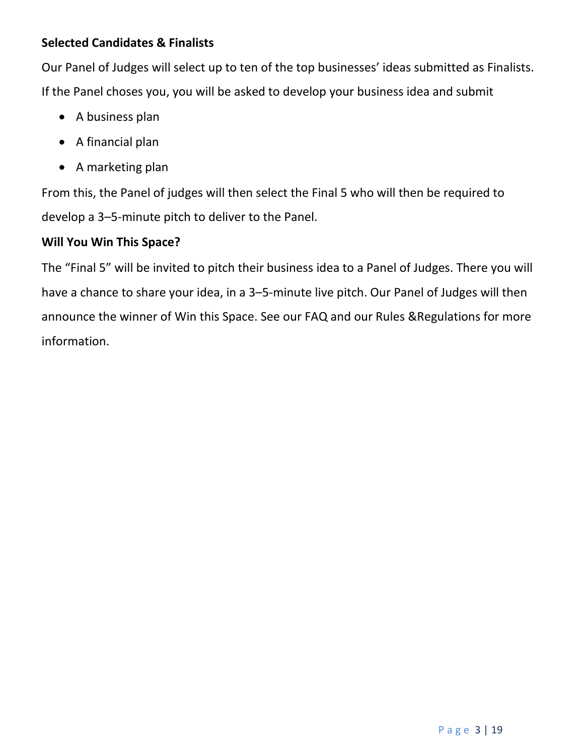## **Selected Candidates & Finalists**

Our Panel of Judges will select up to ten of the top businesses' ideas submitted as Finalists. If the Panel choses you, you will be asked to develop your business idea and submit

- A business plan
- A financial plan
- A marketing plan

From this, the Panel of judges will then select the Final 5 who will then be required to develop a 3–5-minute pitch to deliver to the Panel.

#### **Will You Win This Space?**

The "Final 5" will be invited to pitch their business idea to a Panel of Judges. There you will have a chance to share your idea, in a 3–5-minute live pitch. Our Panel of Judges will then announce the winner of Win this Space. See our FAQ and our Rules &Regulations for more information.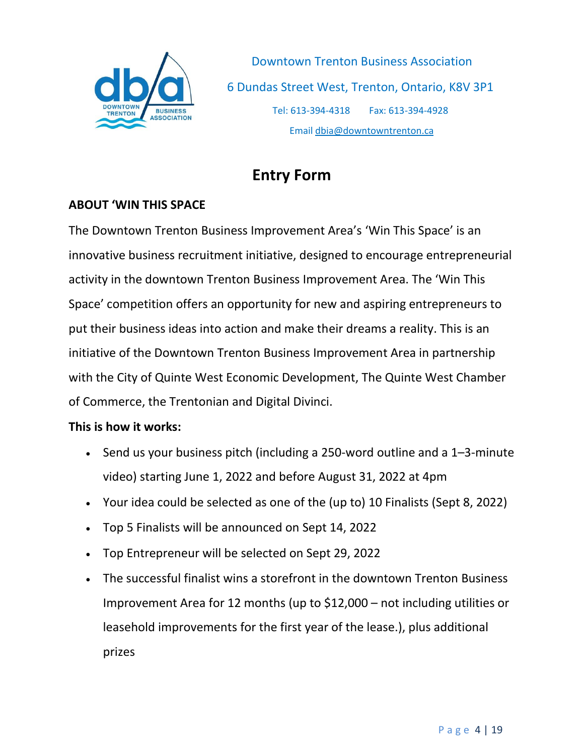

# **Entry Form**

#### **ABOUT 'WIN THIS SPACE**

The Downtown Trenton Business Improvement Area's 'Win This Space' is an innovative business recruitment initiative, designed to encourage entrepreneurial activity in the downtown Trenton Business Improvement Area. The 'Win This Space' competition offers an opportunity for new and aspiring entrepreneurs to put their business ideas into action and make their dreams a reality. This is an initiative of the Downtown Trenton Business Improvement Area in partnership with the City of Quinte West Economic Development, The Quinte West Chamber of Commerce, the Trentonian and Digital Divinci.

#### **This is how it works:**

- Send us your business pitch (including a 250-word outline and a 1–3-minute video) starting June 1, 2022 and before August 31, 2022 at 4pm
- Your idea could be selected as one of the (up to) 10 Finalists (Sept 8, 2022)
- Top 5 Finalists will be announced on Sept 14, 2022
- Top Entrepreneur will be selected on Sept 29, 2022
- The successful finalist wins a storefront in the downtown Trenton Business Improvement Area for 12 months (up to \$12,000 – not including utilities or leasehold improvements for the first year of the lease.), plus additional prizes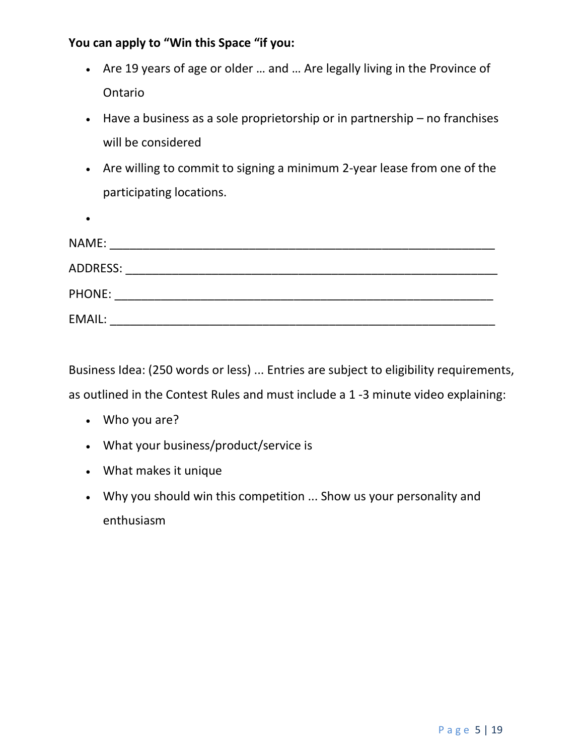#### **You can apply to "Win this Space "if you:**

- Are 19 years of age or older … and … Are legally living in the Province of Ontario
- Have a business as a sole proprietorship or in partnership no franchises will be considered
- Are willing to commit to signing a minimum 2-year lease from one of the participating locations.

| NAME:           |  |  |  |
|-----------------|--|--|--|
| <b>ADDRESS:</b> |  |  |  |
| <b>PHONE:</b>   |  |  |  |
| <b>EMAIL:</b>   |  |  |  |

Business Idea: (250 words or less) ... Entries are subject to eligibility requirements, as outlined in the Contest Rules and must include a 1 -3 minute video explaining:

• Who you are?

•

- What your business/product/service is
- What makes it unique
- Why you should win this competition ... Show us your personality and enthusiasm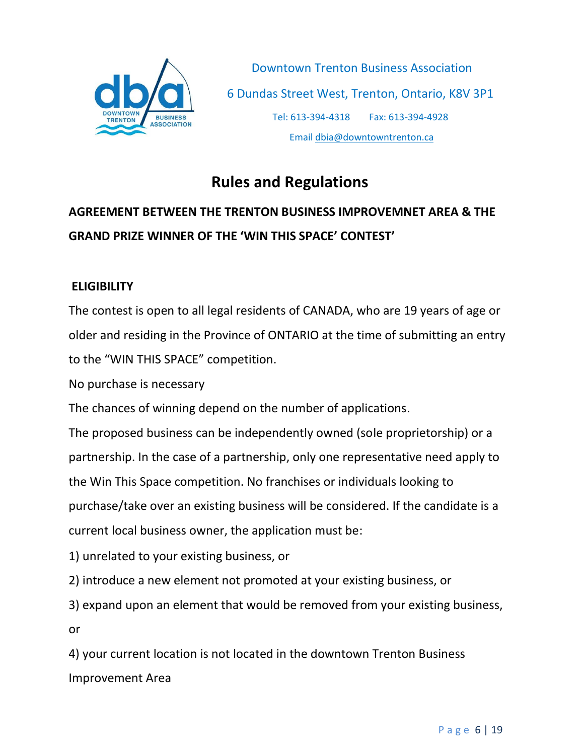

# **Rules and Regulations**

# **AGREEMENT BETWEEN THE TRENTON BUSINESS IMPROVEMNET AREA & THE GRAND PRIZE WINNER OF THE 'WIN THIS SPACE' CONTEST'**

## **ELIGIBILITY**

The contest is open to all legal residents of CANADA, who are 19 years of age or older and residing in the Province of ONTARIO at the time of submitting an entry to the "WIN THIS SPACE" competition.

No purchase is necessary

The chances of winning depend on the number of applications.

The proposed business can be independently owned (sole proprietorship) or a partnership. In the case of a partnership, only one representative need apply to the Win This Space competition. No franchises or individuals looking to purchase/take over an existing business will be considered. If the candidate is a current local business owner, the application must be:

1) unrelated to your existing business, or

2) introduce a new element not promoted at your existing business, or

3) expand upon an element that would be removed from your existing business, or

4) your current location is not located in the downtown Trenton Business Improvement Area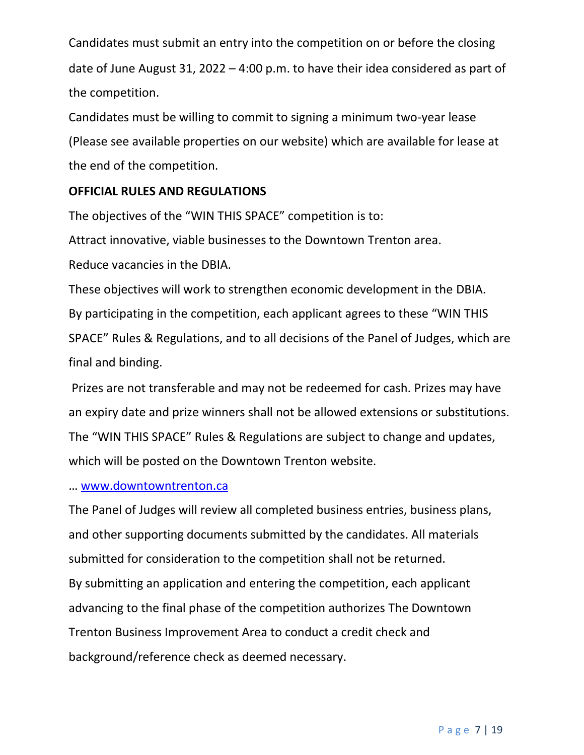Candidates must submit an entry into the competition on or before the closing date of June August 31, 2022 – 4:00 p.m. to have their idea considered as part of the competition.

Candidates must be willing to commit to signing a minimum two-year lease (Please see available properties on our website) which are available for lease at the end of the competition.

#### **OFFICIAL RULES AND REGULATIONS**

The objectives of the "WIN THIS SPACE" competition is to:

Attract innovative, viable businesses to the Downtown Trenton area.

Reduce vacancies in the DBIA.

These objectives will work to strengthen economic development in the DBIA. By participating in the competition, each applicant agrees to these "WIN THIS SPACE" Rules & Regulations, and to all decisions of the Panel of Judges, which are final and binding.

Prizes are not transferable and may not be redeemed for cash. Prizes may have an expiry date and prize winners shall not be allowed extensions or substitutions. The "WIN THIS SPACE" Rules & Regulations are subject to change and updates, which will be posted on the Downtown Trenton website.

#### … [www.downtowntrenton.ca](http://www.downtowntrenton.ca/)

The Panel of Judges will review all completed business entries, business plans, and other supporting documents submitted by the candidates. All materials submitted for consideration to the competition shall not be returned. By submitting an application and entering the competition, each applicant advancing to the final phase of the competition authorizes The Downtown Trenton Business Improvement Area to conduct a credit check and background/reference check as deemed necessary.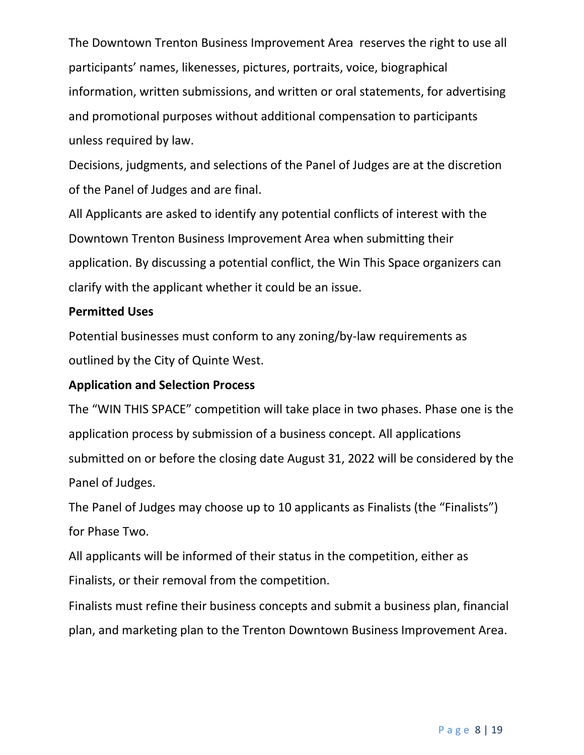The Downtown Trenton Business Improvement Area reserves the right to use all participants' names, likenesses, pictures, portraits, voice, biographical information, written submissions, and written or oral statements, for advertising and promotional purposes without additional compensation to participants unless required by law.

Decisions, judgments, and selections of the Panel of Judges are at the discretion of the Panel of Judges and are final.

All Applicants are asked to identify any potential conflicts of interest with the Downtown Trenton Business Improvement Area when submitting their application. By discussing a potential conflict, the Win This Space organizers can clarify with the applicant whether it could be an issue.

#### **Permitted Uses**

Potential businesses must conform to any zoning/by-law requirements as outlined by the City of Quinte West.

#### **Application and Selection Process**

The "WIN THIS SPACE" competition will take place in two phases. Phase one is the application process by submission of a business concept. All applications submitted on or before the closing date August 31, 2022 will be considered by the Panel of Judges.

The Panel of Judges may choose up to 10 applicants as Finalists (the "Finalists") for Phase Two.

All applicants will be informed of their status in the competition, either as Finalists, or their removal from the competition.

Finalists must refine their business concepts and submit a business plan, financial plan, and marketing plan to the Trenton Downtown Business Improvement Area.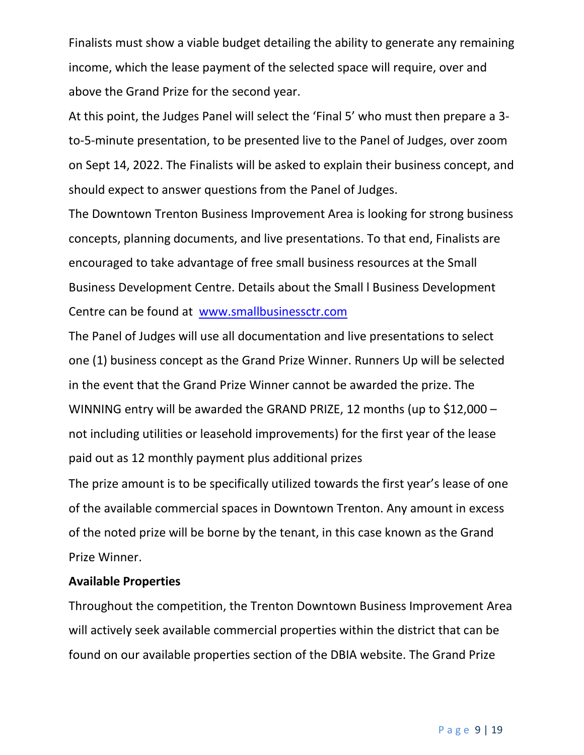Finalists must show a viable budget detailing the ability to generate any remaining income, which the lease payment of the selected space will require, over and above the Grand Prize for the second year.

At this point, the Judges Panel will select the 'Final 5' who must then prepare a 3 to-5-minute presentation, to be presented live to the Panel of Judges, over zoom on Sept 14, 2022. The Finalists will be asked to explain their business concept, and should expect to answer questions from the Panel of Judges.

The Downtown Trenton Business Improvement Area is looking for strong business concepts, planning documents, and live presentations. To that end, Finalists are encouraged to take advantage of free small business resources at the Small Business Development Centre. Details about the Small l Business Development Centre can be found at [www.smallbusinessctr.com](http://www.smallbusinessctr.com/)

The Panel of Judges will use all documentation and live presentations to select one (1) business concept as the Grand Prize Winner. Runners Up will be selected in the event that the Grand Prize Winner cannot be awarded the prize. The WINNING entry will be awarded the GRAND PRIZE, 12 months (up to \$12,000 – not including utilities or leasehold improvements) for the first year of the lease paid out as 12 monthly payment plus additional prizes

The prize amount is to be specifically utilized towards the first year's lease of one of the available commercial spaces in Downtown Trenton. Any amount in excess of the noted prize will be borne by the tenant, in this case known as the Grand Prize Winner.

#### **Available Properties**

Throughout the competition, the Trenton Downtown Business Improvement Area will actively seek available commercial properties within the district that can be found on our available properties section of the DBIA website. The Grand Prize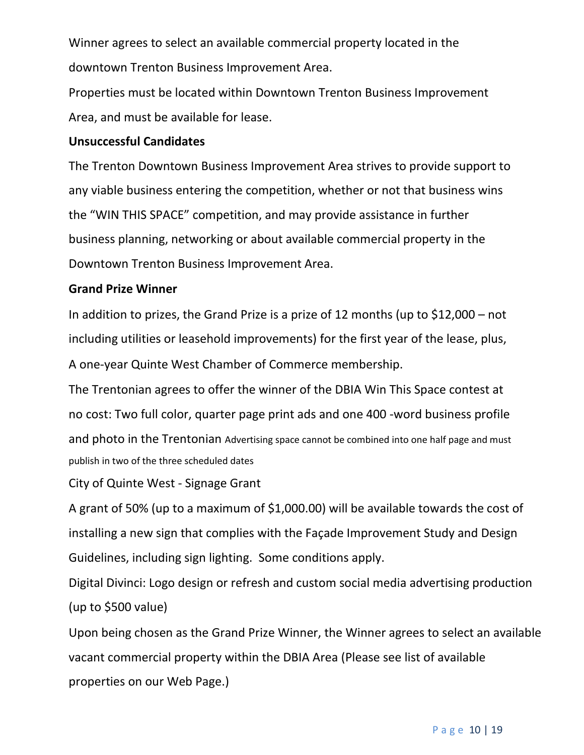Winner agrees to select an available commercial property located in the downtown Trenton Business Improvement Area.

Properties must be located within Downtown Trenton Business Improvement Area, and must be available for lease.

#### **Unsuccessful Candidates**

The Trenton Downtown Business Improvement Area strives to provide support to any viable business entering the competition, whether or not that business wins the "WIN THIS SPACE" competition, and may provide assistance in further business planning, networking or about available commercial property in the Downtown Trenton Business Improvement Area.

#### **Grand Prize Winner**

In addition to prizes, the Grand Prize is a prize of 12 months (up to \$12,000 – not including utilities or leasehold improvements) for the first year of the lease, plus, A one-year Quinte West Chamber of Commerce membership.

The Trentonian agrees to offer the winner of the DBIA Win This Space contest at no cost: Two full color, quarter page print ads and one 400 -word business profile and photo in the Trentonian Advertising space cannot be combined into one half page and must publish in two of the three scheduled dates

City of Quinte West - Signage Grant

A grant of 50% (up to a maximum of \$1,000.00) will be available towards the cost of installing a new sign that complies with the Façade Improvement Study and Design Guidelines, including sign lighting. Some conditions apply.

Digital Divinci: Logo design or refresh and custom social media advertising production (up to \$500 value)

Upon being chosen as the Grand Prize Winner, the Winner agrees to select an available vacant commercial property within the DBIA Area (Please see list of available properties on our Web Page.)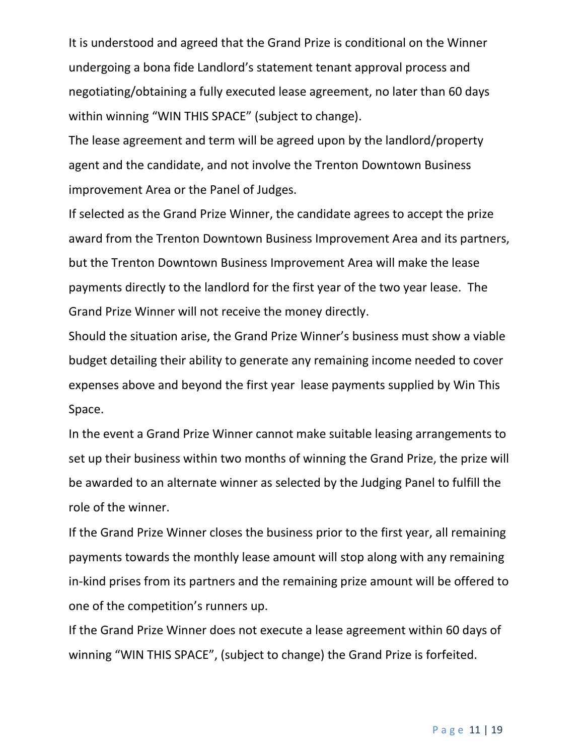It is understood and agreed that the Grand Prize is conditional on the Winner undergoing a bona fide Landlord's statement tenant approval process and negotiating/obtaining a fully executed lease agreement, no later than 60 days within winning "WIN THIS SPACE" (subject to change).

The lease agreement and term will be agreed upon by the landlord/property agent and the candidate, and not involve the Trenton Downtown Business improvement Area or the Panel of Judges.

If selected as the Grand Prize Winner, the candidate agrees to accept the prize award from the Trenton Downtown Business Improvement Area and its partners, but the Trenton Downtown Business Improvement Area will make the lease payments directly to the landlord for the first year of the two year lease. The Grand Prize Winner will not receive the money directly.

Should the situation arise, the Grand Prize Winner's business must show a viable budget detailing their ability to generate any remaining income needed to cover expenses above and beyond the first year lease payments supplied by Win This Space.

In the event a Grand Prize Winner cannot make suitable leasing arrangements to set up their business within two months of winning the Grand Prize, the prize will be awarded to an alternate winner as selected by the Judging Panel to fulfill the role of the winner.

If the Grand Prize Winner closes the business prior to the first year, all remaining payments towards the monthly lease amount will stop along with any remaining in-kind prises from its partners and the remaining prize amount will be offered to one of the competition's runners up.

If the Grand Prize Winner does not execute a lease agreement within 60 days of winning "WIN THIS SPACE", (subject to change) the Grand Prize is forfeited.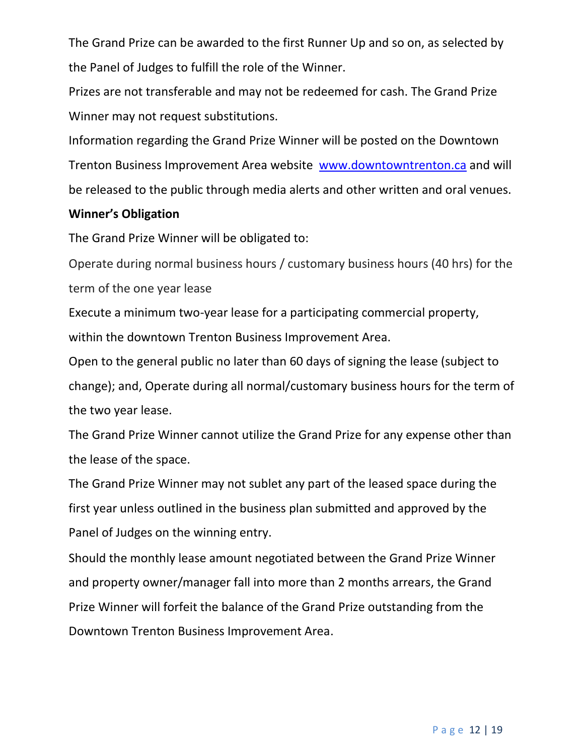The Grand Prize can be awarded to the first Runner Up and so on, as selected by the Panel of Judges to fulfill the role of the Winner.

Prizes are not transferable and may not be redeemed for cash. The Grand Prize Winner may not request substitutions.

Information regarding the Grand Prize Winner will be posted on the Downtown Trenton Business Improvement Area website [www.downtowntrenton.ca](http://www.downtowntrenton.ca/) and will be released to the public through media alerts and other written and oral venues.

#### **Winner's Obligation**

The Grand Prize Winner will be obligated to:

Operate during normal business hours / customary business hours (40 hrs) for the term of the one year lease

Execute a minimum two-year lease for a participating commercial property, within the downtown Trenton Business Improvement Area.

Open to the general public no later than 60 days of signing the lease (subject to change); and, Operate during all normal/customary business hours for the term of the two year lease.

The Grand Prize Winner cannot utilize the Grand Prize for any expense other than the lease of the space.

The Grand Prize Winner may not sublet any part of the leased space during the first year unless outlined in the business plan submitted and approved by the Panel of Judges on the winning entry.

Should the monthly lease amount negotiated between the Grand Prize Winner and property owner/manager fall into more than 2 months arrears, the Grand Prize Winner will forfeit the balance of the Grand Prize outstanding from the Downtown Trenton Business Improvement Area.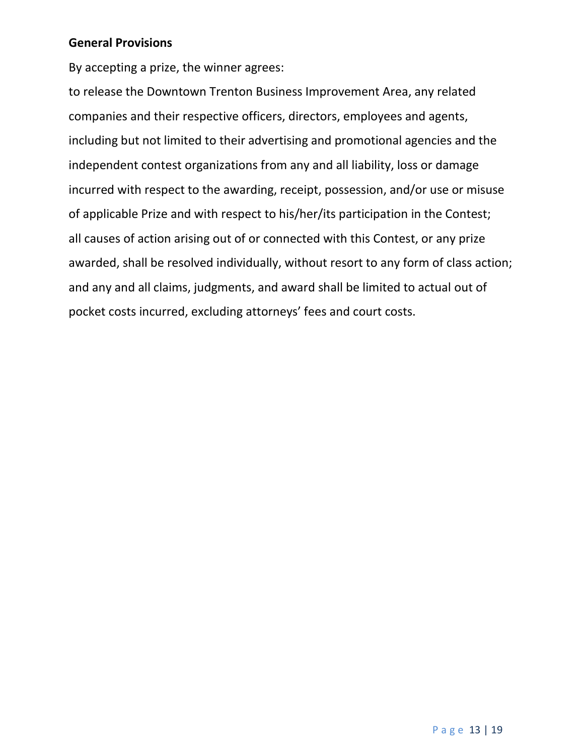#### **General Provisions**

By accepting a prize, the winner agrees:

to release the Downtown Trenton Business Improvement Area, any related companies and their respective officers, directors, employees and agents, including but not limited to their advertising and promotional agencies and the independent contest organizations from any and all liability, loss or damage incurred with respect to the awarding, receipt, possession, and/or use or misuse of applicable Prize and with respect to his/her/its participation in the Contest; all causes of action arising out of or connected with this Contest, or any prize awarded, shall be resolved individually, without resort to any form of class action; and any and all claims, judgments, and award shall be limited to actual out of pocket costs incurred, excluding attorneys' fees and court costs.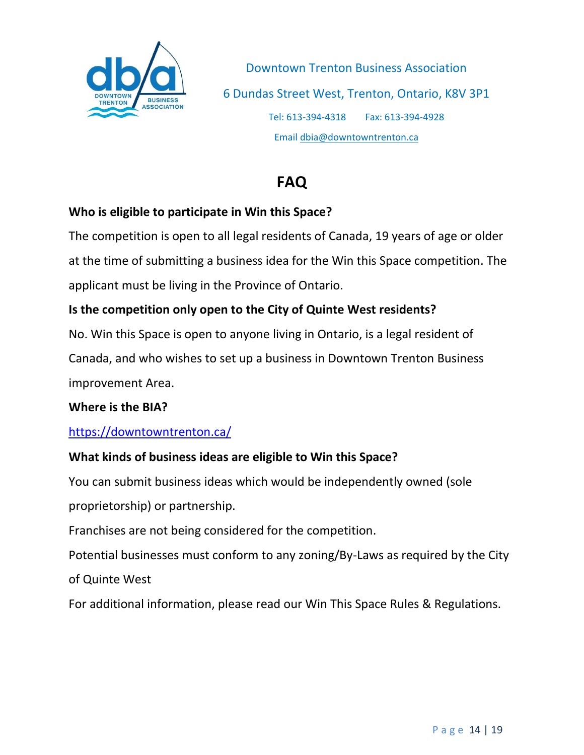

## **FAQ**

#### **Who is eligible to participate in Win this Space?**

The competition is open to all legal residents of Canada, 19 years of age or older at the time of submitting a business idea for the Win this Space competition. The applicant must be living in the Province of Ontario.

## **Is the competition only open to the City of Quinte West residents?**

No. Win this Space is open to anyone living in Ontario, is a legal resident of

Canada, and who wishes to set up a business in Downtown Trenton Business improvement Area.

#### **Where is the BIA?**

#### <https://downtowntrenton.ca/>

## **What kinds of business ideas are eligible to Win this Space?**

You can submit business ideas which would be independently owned (sole proprietorship) or partnership.

Franchises are not being considered for the competition.

Potential businesses must conform to any zoning/By-Laws as required by the City of Quinte West

For additional information, please read our Win This Space [Rules & Regulations.](http://heartoforleans.ca/win/submit-business-idea/)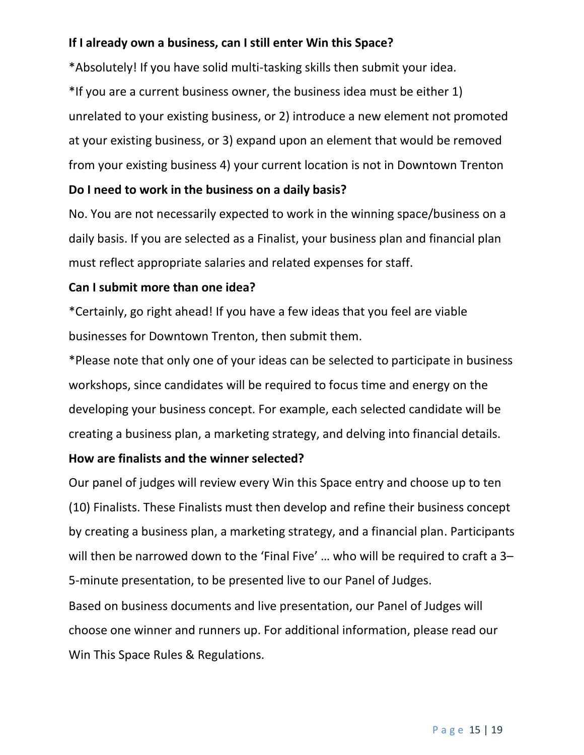## **If I already own a business, can I still enter Win this Space?**

\*Absolutely! If you have solid multi-tasking skills then submit your idea. \*If you are a current business owner, the business idea must be either 1) unrelated to your existing business, or 2) introduce a new element not promoted at your existing business, or 3) expand upon an element that would be removed from your existing business 4) your current location is not in Downtown Trenton

#### **Do I need to work in the business on a daily basis?**

No. You are not necessarily expected to work in the winning space/business on a daily basis. If you are selected as a Finalist, your business plan and financial plan must reflect appropriate salaries and related expenses for staff.

#### **Can I submit more than one idea?**

\*Certainly, go right ahead! If you have a few ideas that you feel are viable businesses for Downtown Trenton, then submit them.

\*Please note that only one of your ideas can be selected to participate in business workshops, since candidates will be required to focus time and energy on the developing your business concept. For example, each selected candidate will be creating a business plan, a marketing strategy, and delving into financial details.

#### **How are finalists and the winner selected?**

Our panel of judges will review every Win this Space entry and choose up to ten (10) Finalists. These Finalists must then develop and refine their business concept by creating a business plan, a marketing strategy, and a financial plan. Participants will then be narrowed down to the 'Final Five' … who will be required to craft a 3– 5-minute presentation, to be presented live to our Panel of Judges.

Based on business documents and live presentation, our Panel of Judges will choose one winner and runners up. For additional information, please read our Win This Space [Rules & Regulations.](http://heartoforleans.ca/win/submit-business-idea/)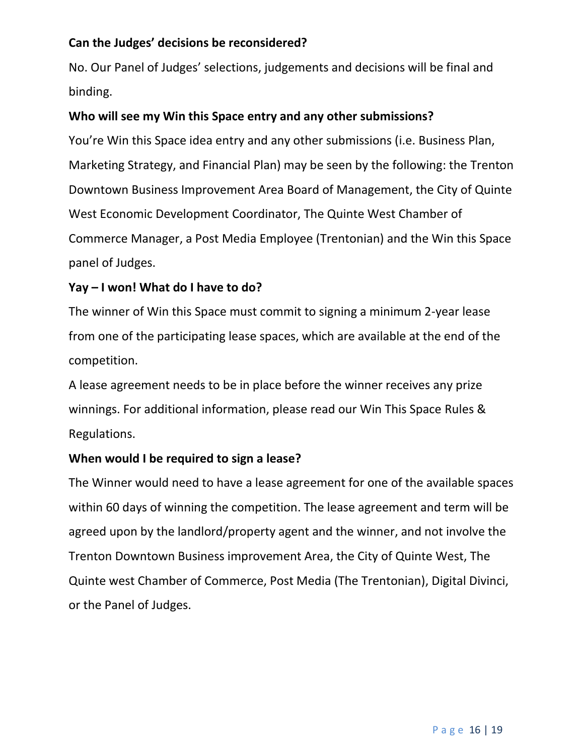## **Can the Judges' decisions be reconsidered?**

No. Our Panel of Judges' selections, judgements and decisions will be final and binding.

## **Who will see my Win this Space entry and any other submissions?**

You're Win this Space idea entry and any other submissions (i.e. Business Plan, Marketing Strategy, and Financial Plan) may be seen by the following: the Trenton Downtown Business Improvement Area Board of Management, the City of Quinte West Economic Development Coordinator, The Quinte West Chamber of Commerce Manager, a Post Media Employee (Trentonian) and the Win this Space panel of Judges.

## **Yay – I won! What do I have to do?**

The winner of Win this Space must commit to signing a minimum 2-year lease from one of the participating lease spaces, which are available at the end of the competition.

A lease agreement needs to be in place before the winner receives any prize winnings. For additional information, please read our Win This Space [Rules &](http://heartoforleans.ca/win/submit-business-idea/)  [Regulations.](http://heartoforleans.ca/win/submit-business-idea/)

#### **When would I be required to sign a lease?**

The Winner would need to have a lease agreement for one of the available spaces within 60 days of winning the competition. The lease agreement and term will be agreed upon by the landlord/property agent and the winner, and not involve the Trenton Downtown Business improvement Area, the City of Quinte West, The Quinte west Chamber of Commerce, Post Media (The Trentonian), Digital Divinci, or the Panel of Judges.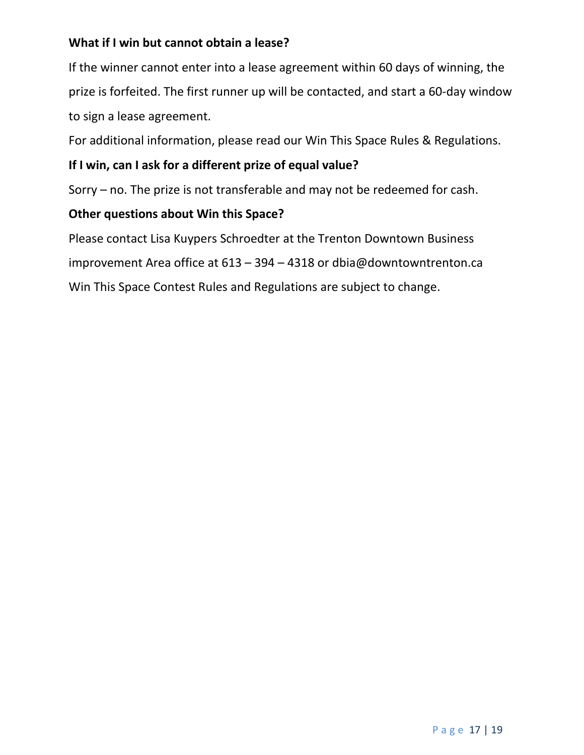## **What if I win but cannot obtain a lease?**

If the winner cannot enter into a lease agreement within 60 days of winning, the prize is forfeited. The first runner up will be contacted, and start a 60-day window to sign a lease agreement.

For additional information, please read our Win This Space [Rules & Regulations.](http://heartoforleans.ca/win/submit-business-idea/)

## **If I win, can I ask for a different prize of equal value?**

Sorry – no. The prize is not transferable and may not be redeemed for cash.

#### **Other questions about Win this Space?**

Please contact Lisa Kuypers Schroedter at the Trenton Downtown Business improvement Area office at 613 – 394 – 4318 or dbia@downtowntrenton.ca Win This Space Contest Rules and Regulations are subject to change.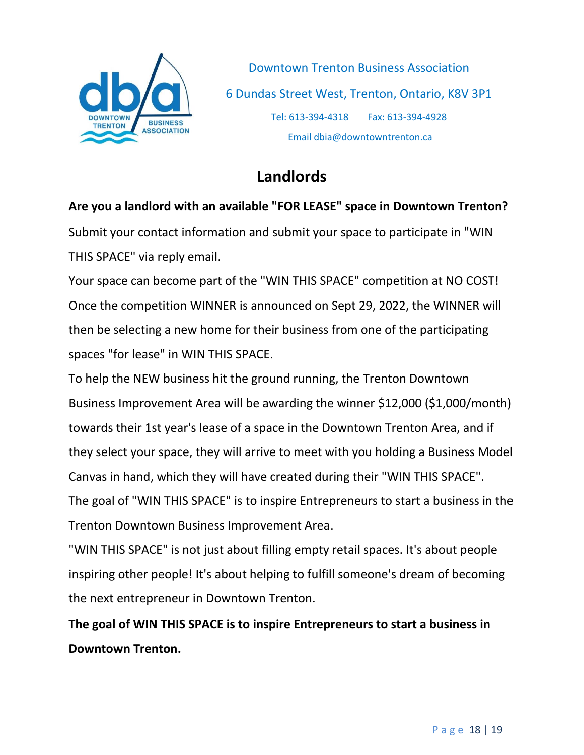

# **Landlords**

**Are you a landlord with an available "FOR LEASE" space in Downtown Trenton?**  Submit your contact information and submit your space to participate in "WIN THIS SPACE" via reply email.

Your space can become part of the "WIN THIS SPACE" competition at NO COST! Once the competition WINNER is announced on Sept 29, 2022, the WINNER will then be selecting a new home for their business from one of the participating spaces "for lease" in WIN THIS SPACE.

To help the NEW business hit the ground running, the Trenton Downtown Business Improvement Area will be awarding the winner \$12,000 (\$1,000/month) towards their 1st year's lease of a space in the Downtown Trenton Area, and if they select your space, they will arrive to meet with you holding a Business Model Canvas in hand, which they will have created during their "WIN THIS SPACE". The goal of "WIN THIS SPACE" is to inspire Entrepreneurs to start a business in the Trenton Downtown Business Improvement Area.

"WIN THIS SPACE" is not just about filling empty retail spaces. It's about people inspiring other people! It's about helping to fulfill someone's dream of becoming the next entrepreneur in Downtown Trenton.

**The goal of WIN THIS SPACE is to inspire Entrepreneurs to start a business in Downtown Trenton.**